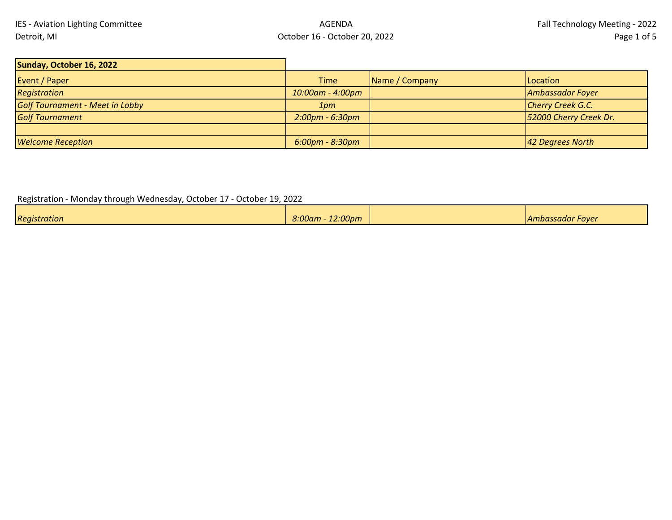# AGENDAOctober 16 - October 20, 2022

| Sunday, October 16, 2022               |                                   |                |                          |
|----------------------------------------|-----------------------------------|----------------|--------------------------|
| <b>Event / Paper</b>                   | <b>Time</b>                       | Name / Company | <b>ILocation</b>         |
| Registration                           | 10:00am - 4:00pm                  |                | <b>Ambassador Foyer</b>  |
| <b>Golf Tournament - Meet in Lobby</b> | 1pm                               |                | <b>Cherry Creek G.C.</b> |
| <b>Golf Tournament</b>                 | $2:00 \text{pm} - 6:30 \text{pm}$ |                | 52000 Cherry Creek Dr.   |
|                                        |                                   |                |                          |
| <b>Welcome Reception</b>               | $6:00 \text{pm} - 8:30 \text{pm}$ |                | 42 Degrees North         |

#### Registration - Monday through Wednesday, October 17 - October 19, 2022

| Registration | 12:00pm<br>8:00am - | <b>Ambassador</b> F<br>Fover |
|--------------|---------------------|------------------------------|
|              |                     |                              |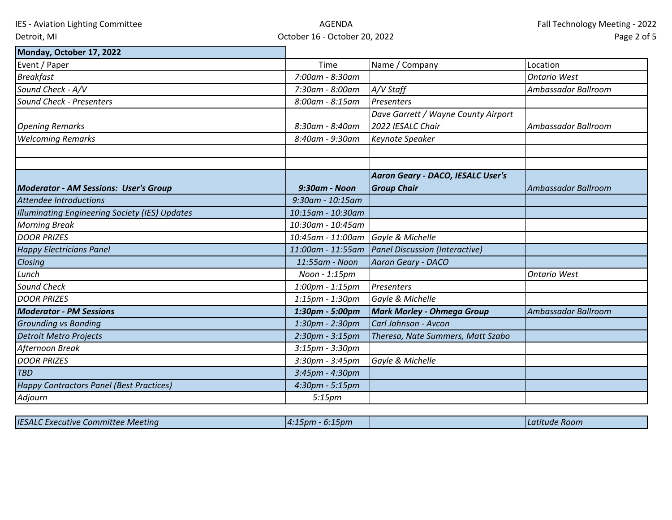IES - Aviation Lighting Committee

Detroit, MI

| Monday, October 17, 2022                                                      |                       |                                                                |                     |
|-------------------------------------------------------------------------------|-----------------------|----------------------------------------------------------------|---------------------|
| Event / Paper                                                                 | Time                  | Name / Company                                                 | Location            |
| <b>Breakfast</b>                                                              | 7:00am - 8:30am       |                                                                | <b>Ontario West</b> |
| Sound Check - A/V                                                             | 7:30am - 8:00am       | A/V Staff                                                      | Ambassador Ballroom |
| Sound Check - Presenters                                                      | 8:00am - 8:15am       | <b>Presenters</b>                                              |                     |
|                                                                               |                       | Dave Garrett / Wayne County Airport                            |                     |
| <b>Opening Remarks</b>                                                        | 8:30am - 8:40am       | 2022 IESALC Chair                                              | Ambassador Ballroom |
| <b>Welcoming Remarks</b>                                                      | 8:40am - 9:30am       | Keynote Speaker                                                |                     |
|                                                                               |                       |                                                                |                     |
|                                                                               | 9:30am - Noon         | <b>Aaron Geary - DACO, IESALC User's</b><br><b>Group Chair</b> | Ambassador Ballroom |
| <b>Moderator - AM Sessions: User's Group</b><br>Attendee Introductions        | 9:30am - 10:15am      |                                                                |                     |
|                                                                               | 10:15am - 10:30am     |                                                                |                     |
| <b>Illuminating Engineering Society (IES) Updates</b><br><b>Morning Break</b> | 10:30am - 10:45am     |                                                                |                     |
| <b>DOOR PRIZES</b>                                                            | 10:45am - 11:00am     | Gayle & Michelle                                               |                     |
| <b>Happy Electricians Panel</b>                                               | 11:00am - 11:55am     | <b>Panel Discussion (Interactive)</b>                          |                     |
| Closing                                                                       | 11:55am - Noon        | Aaron Geary - DACO                                             |                     |
| Lunch                                                                         | Noon - 1:15pm         |                                                                | <b>Ontario West</b> |
| Sound Check                                                                   | 1:00pm - 1:15pm       | <b>Presenters</b>                                              |                     |
| <b>DOOR PRIZES</b>                                                            | $1:15pm - 1:30pm$     | Gayle & Michelle                                               |                     |
| <b>Moderator - PM Sessions</b>                                                | 1:30pm - 5:00pm       | <b>Mark Morley - Ohmega Group</b>                              | Ambassador Ballroom |
| <b>Grounding vs Bonding</b>                                                   | 1:30pm - 2:30pm       | Carl Johnson - Avcon                                           |                     |
| <b>Detroit Metro Projects</b>                                                 | 2:30pm - 3:15pm       | Theresa, Nate Summers, Matt Szabo                              |                     |
| Afternoon Break                                                               | $3:15pm - 3:30pm$     |                                                                |                     |
| <b>DOOR PRIZES</b>                                                            | $3:30$ pm - $3:45$ pm | Gayle & Michelle                                               |                     |
| <b>TBD</b>                                                                    | 3:45pm - 4:30pm       |                                                                |                     |
| <b>Happy Contractors Panel (Best Practices)</b>                               | 4:30pm - 5:15pm       |                                                                |                     |
| Adjourn                                                                       | 5:15pm                |                                                                |                     |
|                                                                               |                       |                                                                |                     |

| <b>IESALC F</b><br><sup>,</sup> Committee Meetina<br>Executive | 6:15pm<br>$14:15$ pm | ILatitude Room |
|----------------------------------------------------------------|----------------------|----------------|
|                                                                |                      |                |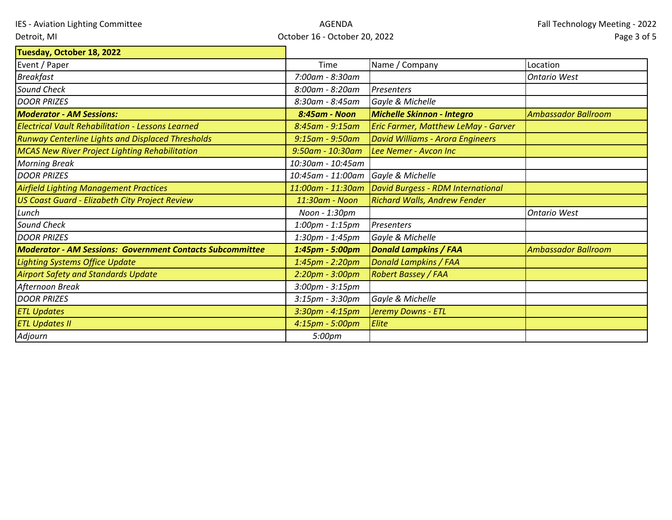Detroit, MI

| Tuesday, October 18, 2022                                        |                       |                                            |                            |
|------------------------------------------------------------------|-----------------------|--------------------------------------------|----------------------------|
| Event / Paper                                                    | Time                  | Name / Company                             | Location                   |
| <b>Breakfast</b>                                                 | 7:00am - 8:30am       |                                            | <b>Ontario West</b>        |
| Sound Check                                                      | 8:00am - 8:20am       | <b>Presenters</b>                          |                            |
| <b>DOOR PRIZES</b>                                               | 8:30am - 8:45am       | Gayle & Michelle                           |                            |
| <b>Moderator - AM Sessions:</b>                                  | 8:45am - Noon         | <b>Michelle Skinnon - Integro</b>          | <b>Ambassador Ballroom</b> |
| <b>Electrical Vault Rehabilitation - Lessons Learned</b>         | 8:45am - 9:15am       | <b>Eric Farmer, Matthew LeMay - Garver</b> |                            |
| <b>Runway Centerline Lights and Displaced Thresholds</b>         | $9:15$ am - $9:50$ am | <b>David Williams - Arora Engineers</b>    |                            |
| <b>MCAS New River Project Lighting Rehabilitation</b>            | 9:50am - 10:30am      | Lee Nemer - Avcon Inc                      |                            |
| <b>Morning Break</b>                                             | 10:30am - 10:45am     |                                            |                            |
| <b>DOOR PRIZES</b>                                               | 10:45am - 11:00am     | Gayle & Michelle                           |                            |
| <b>Airfield Lighting Management Practices</b>                    | 11:00am - 11:30am     | David Burgess - RDM International          |                            |
| <b>US Coast Guard - Elizabeth City Project Review</b>            | 11:30am - Noon        | <b>Richard Walls, Andrew Fender</b>        |                            |
| Lunch                                                            | Noon - 1:30pm         |                                            | <b>Ontario West</b>        |
| Sound Check                                                      | 1:00pm - 1:15pm       | <b>Presenters</b>                          |                            |
| <b>DOOR PRIZES</b>                                               | 1:30pm - 1:45pm       | Gayle & Michelle                           |                            |
| <b>Moderator - AM Sessions: Government Contacts Subcommittee</b> | 1:45pm - 5:00pm       | <b>Donald Lampkins / FAA</b>               | <b>Ambassador Ballroom</b> |
| <b>Lighting Systems Office Update</b>                            | 1:45pm - 2:20pm       | <b>Donald Lampkins / FAA</b>               |                            |
| <b>Airport Safety and Standards Update</b>                       | 2:20pm - 3:00pm       | <b>Robert Bassey / FAA</b>                 |                            |
| Afternoon Break                                                  | 3:00pm - 3:15pm       |                                            |                            |
| <b>DOOR PRIZES</b>                                               | 3:15pm - 3:30pm       | Gayle & Michelle                           |                            |
| <b>ETL Updates</b>                                               | $3:30$ pm - $4:15$ pm | Jeremy Downs - ETL                         |                            |
| <b>ETL Updates II</b>                                            | 4:15pm - 5:00pm       | Elite                                      |                            |
| Adjourn                                                          | 5:00pm                |                                            |                            |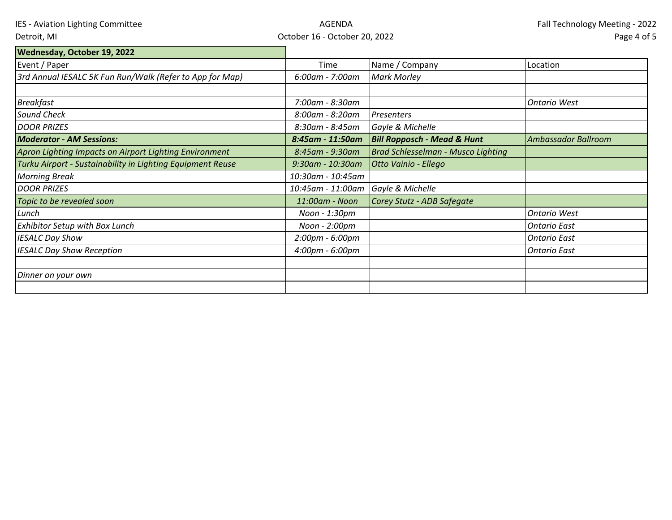IES - Aviation Lighting Committee

Detroit, MI

| Wednesday, October 19, 2022                                |                                    |                                        |                            |
|------------------------------------------------------------|------------------------------------|----------------------------------------|----------------------------|
| Event / Paper                                              | Time                               | Name / Company                         | Location                   |
| 3rd Annual IESALC 5K Fun Run/Walk (Refer to App for Map)   | 6:00am - 7:00am                    | <b>Mark Morley</b>                     |                            |
|                                                            |                                    |                                        |                            |
| <b>Breakfast</b>                                           | 7:00am - 8:30am                    |                                        | <b>Ontario West</b>        |
| Sound Check                                                | 8:00am - 8:20am                    | Presenters                             |                            |
| <b>DOOR PRIZES</b>                                         | 8:30am - 8:45am                    | Gayle & Michelle                       |                            |
| <b>Moderator - AM Sessions:</b>                            | 8:45am - 11:50am                   | <b>Bill Ropposch - Mead &amp; Hunt</b> | <b>Ambassador Ballroom</b> |
| Apron Lighting Impacts on Airport Lighting Environment     | 8:45am - 9:30am                    | Brad Schlesselman - Musco Lighting     |                            |
| Turku Airport - Sustainability in Lighting Equipment Reuse | 9:30am - 10:30am                   | Otto Vainio - Ellego                   |                            |
| <b>Morning Break</b>                                       | 10:30am - 10:45am                  |                                        |                            |
| <b>DOOR PRIZES</b>                                         | 10:45am - 11:00am Gayle & Michelle |                                        |                            |
| Topic to be revealed soon                                  | 11:00am - Noon                     | Corey Stutz - ADB Safegate             |                            |
| Lunch                                                      | Noon - 1:30pm                      |                                        | <b>Ontario West</b>        |
| <b>Exhibitor Setup with Box Lunch</b>                      | Noon - 2:00pm                      |                                        | <b>Ontario East</b>        |
| <b>IESALC Day Show</b>                                     | 2:00pm - 6:00pm                    |                                        | <b>Ontario East</b>        |
| <b>IESALC Day Show Reception</b>                           | 4:00pm - 6:00pm                    |                                        | <b>Ontario East</b>        |
|                                                            |                                    |                                        |                            |
| Dinner on your own                                         |                                    |                                        |                            |
|                                                            |                                    |                                        |                            |